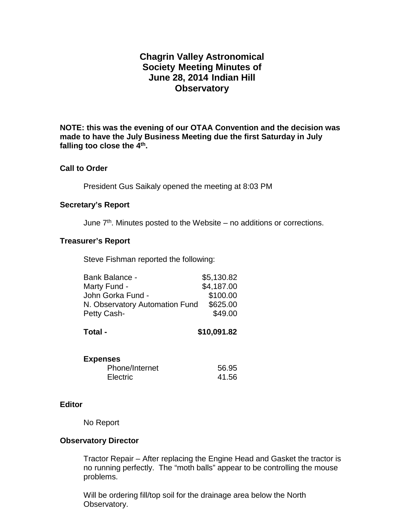# **Chagrin Valley Astronomical Society Meeting Minutes of June 28, 2014 Indian Hill Observatory**

**NOTE: this was the evening of our OTAA Convention and the decision was made to have the July Business Meeting due the first Saturday in July falling too close the 4th.**

# **Call to Order**

President Gus Saikaly opened the meeting at 8:03 PM

## **Secretary's Report**

June  $7<sup>th</sup>$ . Minutes posted to the Website – no additions or corrections.

# **Treasurer's Report**

Steve Fishman reported the following:

| Bank Balance -                 | \$5,130.82 |
|--------------------------------|------------|
| Marty Fund -                   | \$4,187.00 |
| John Gorka Fund -              | \$100.00   |
| N. Observatory Automation Fund | \$625.00   |
| Petty Cash-                    | \$49.00    |

| \$10,091.82 |
|-------------|
|             |

| <b>Expenses</b> |       |
|-----------------|-------|
| Phone/Internet  | 56.95 |
| Electric        | 41.56 |

#### **Editor**

No Report

# **Observatory Director**

Tractor Repair – After replacing the Engine Head and Gasket the tractor is no running perfectly. The "moth balls" appear to be controlling the mouse problems.

Will be ordering fill/top soil for the drainage area below the North Observatory.